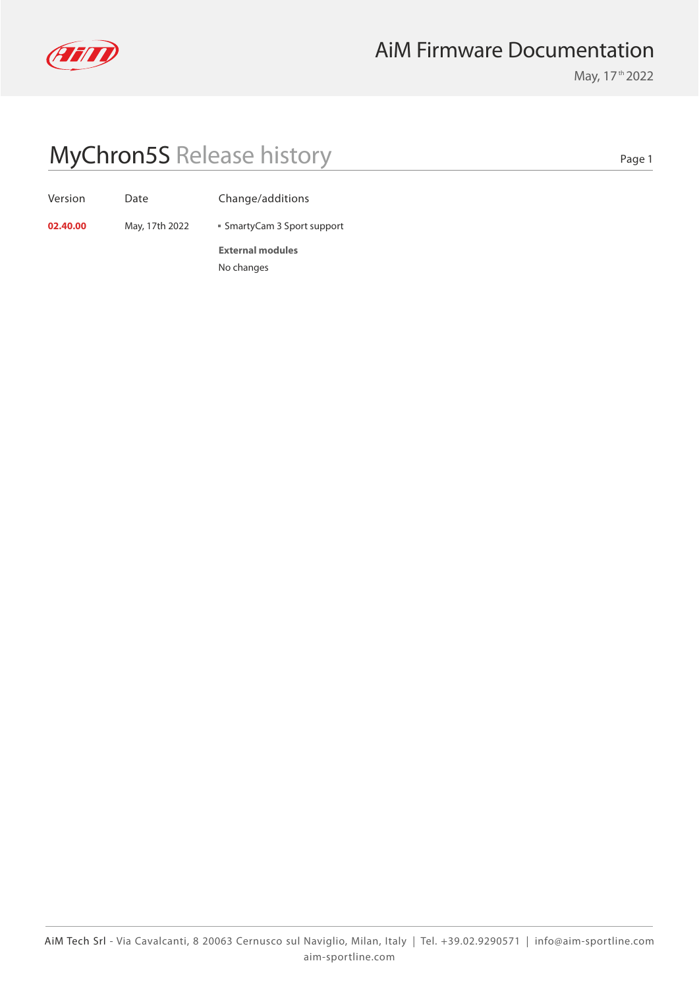

### AiM Firmware Documentation

May, 17<sup>th</sup> 2022

# MyChron5S Release history

Version Date Change/additions

**02.40.00** May, 17th 2022 **SmartyCam 3 Sport support** 

**External modules** No changes

Page 1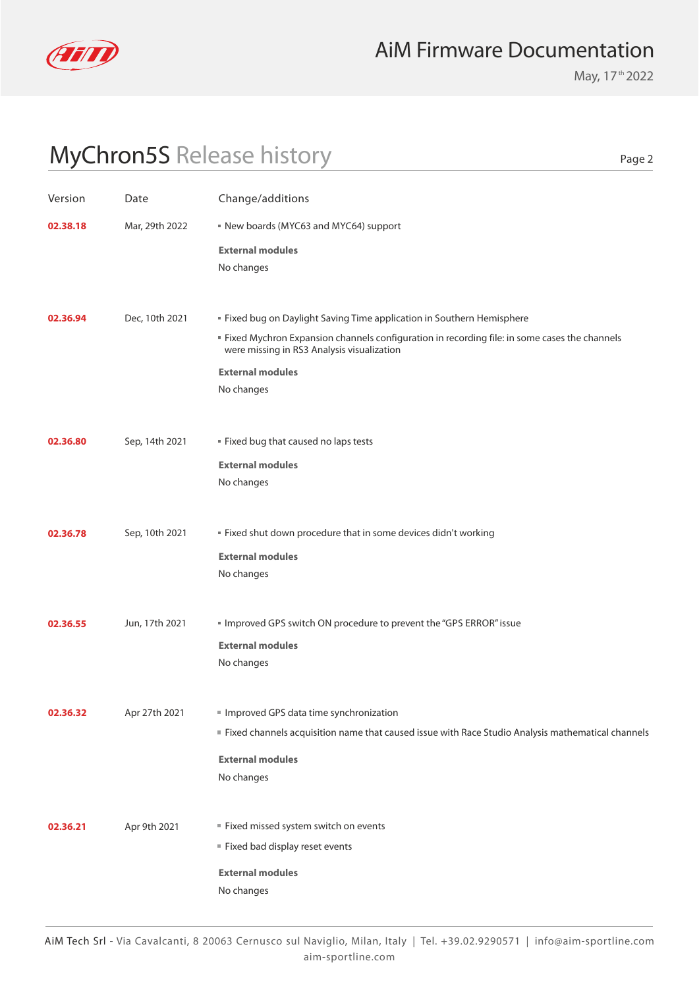

### AiM Firmware Documentation

May, 17<sup>th</sup> 2022

Page 2

# MyChron5S Release history

| Version  | Date           | Change/additions                                                                                                                                                                                                                                                |
|----------|----------------|-----------------------------------------------------------------------------------------------------------------------------------------------------------------------------------------------------------------------------------------------------------------|
| 02.38.18 | Mar, 29th 2022 | New boards (MYC63 and MYC64) support                                                                                                                                                                                                                            |
|          |                | <b>External modules</b><br>No changes                                                                                                                                                                                                                           |
| 02.36.94 | Dec, 10th 2021 | " Fixed bug on Daylight Saving Time application in Southern Hemisphere<br>" Fixed Mychron Expansion channels configuration in recording file: in some cases the channels<br>were missing in RS3 Analysis visualization<br><b>External modules</b><br>No changes |
| 02.36.80 | Sep, 14th 2021 | " Fixed bug that caused no laps tests<br><b>External modules</b><br>No changes                                                                                                                                                                                  |
| 02.36.78 | Sep, 10th 2021 | " Fixed shut down procedure that in some devices didn't working<br><b>External modules</b><br>No changes                                                                                                                                                        |
| 02.36.55 | Jun, 17th 2021 | Improved GPS switch ON procedure to prevent the "GPS ERROR" issue<br><b>External modules</b><br>No changes                                                                                                                                                      |
| 02.36.32 | Apr 27th 2021  | Improved GPS data time synchronization<br>Fixed channels acquisition name that caused issue with Race Studio Analysis mathematical channels<br><b>External modules</b><br>No changes                                                                            |
| 02.36.21 | Apr 9th 2021   | Fixed missed system switch on events<br>Fixed bad display reset events<br><b>External modules</b><br>No changes                                                                                                                                                 |